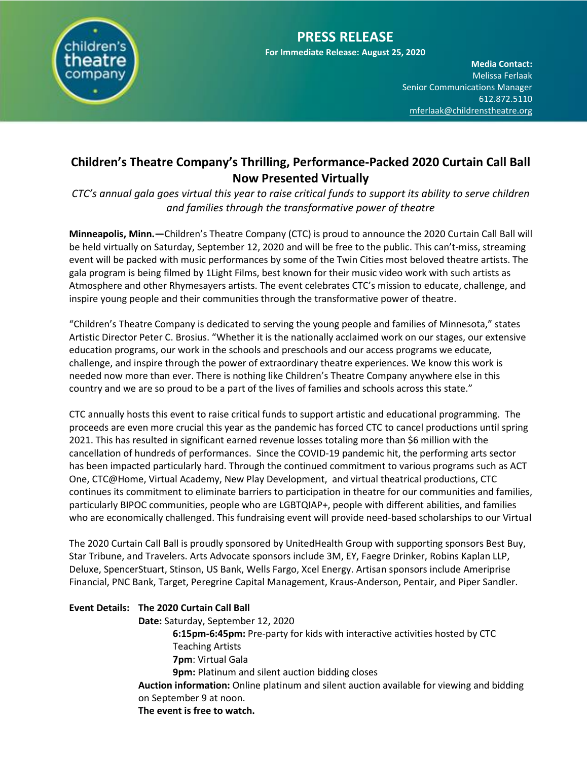

**For Immediate Release: August 25, 2020**

**Media Contact:**  Melissa Ferlaak Senior Communications Manager 612.872.5110 [mferlaak@childrenstheatre.org](mailto:mferlaak@childrenstheatre.org)

## **Children's Theatre Company's Thrilling, Performance-Packed 2020 Curtain Call Ball Now Presented Virtually**

*CTC's annual gala goes virtual this year to raise critical funds to support its ability to serve children and families through the transformative power of theatre*

**Minneapolis, Minn.—**Children's Theatre Company (CTC) is proud to announce the 2020 Curtain Call Ball will be held virtually on Saturday, September 12, 2020 and will be free to the public. This can't-miss, streaming event will be packed with music performances by some of the Twin Cities most beloved theatre artists. The gala program is being filmed by 1Light Films, best known for their music video work with such artists as Atmosphere and other Rhymesayers artists. The event celebrates CTC's mission to educate, challenge, and inspire young people and their communities through the transformative power of theatre.

"Children's Theatre Company is dedicated to serving the young people and families of Minnesota," states Artistic Director Peter C. Brosius. "Whether it is the nationally acclaimed work on our stages, our extensive education programs, our work in the schools and preschools and our access programs we educate, challenge, and inspire through the power of extraordinary theatre experiences. We know this work is needed now more than ever. There is nothing like Children's Theatre Company anywhere else in this country and we are so proud to be a part of the lives of families and schools across this state."

CTC annually hosts this event to raise critical funds to support artistic and educational programming. The proceeds are even more crucial this year as the pandemic has forced CTC to cancel productions until spring 2021. This has resulted in significant earned revenue losses totaling more than \$6 million with the cancellation of hundreds of performances. Since the COVID-19 pandemic hit, the performing arts sector has been impacted particularly hard. Through the continued commitment to various programs such as ACT One, CTC@Home, Virtual Academy, New Play Development, and virtual theatrical productions, CTC continues its commitment to eliminate barriers to participation in theatre for our communities and families, particularly BIPOC communities, people who are LGBTQIAP+, people with different abilities, and families who are economically challenged. This fundraising event will provide need-based scholarships to our Virtual

The 2020 Curtain Call Ball is proudly sponsored by UnitedHealth Group with supporting sponsors Best Buy, Star Tribune, and Travelers. Arts Advocate sponsors include 3M, EY, Faegre Drinker, Robins Kaplan LLP, Deluxe, SpencerStuart, Stinson, US Bank, Wells Fargo, Xcel Energy. Artisan sponsors include Ameriprise Financial, PNC Bank, Target, Peregrine Capital Management, Kraus-Anderson, Pentair, and Piper Sandler.

## **Event Details: The 2020 Curtain Call Ball**

**Date:** Saturday, September 12, 2020

**6:15pm-6:45pm:** Pre-party for kids with interactive activities hosted by CTC Teaching Artists **7pm**: Virtual Gala **9pm:** Platinum and silent auction bidding closes

**Auction information:** Online platinum and silent auction available for viewing and bidding on September 9 at noon.

**The event is free to watch.**